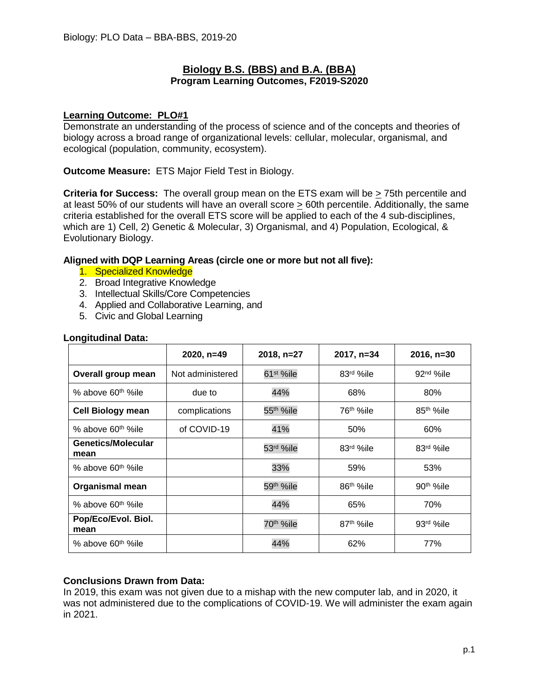# **Biology B.S. (BBS) and B.A. (BBA) Program Learning Outcomes, F2019-S2020**

### **Learning Outcome: PLO#1**

Demonstrate an understanding of the process of science and of the concepts and theories of biology across a broad range of organizational levels: cellular, molecular, organismal, and ecological (population, community, ecosystem).

**Outcome Measure:** ETS Major Field Test in Biology.

**Criteria for Success:** The overall group mean on the ETS exam will be  $\geq$  75th percentile and at least 50% of our students will have an overall score > 60th percentile. Additionally, the same criteria established for the overall ETS score will be applied to each of the 4 sub-disciplines, which are 1) Cell, 2) Genetic & Molecular, 3) Organismal, and 4) Population, Ecological, & Evolutionary Biology.

# **Aligned with DQP Learning Areas (circle one or more but not all five):**

- 1. Specialized Knowledge
- 2. Broad Integrative Knowledge
- 3. Intellectual Skills/Core Competencies
- 4. Applied and Collaborative Learning, and
- 5. Civic and Global Learning

|                                   | 2020, n=49       | 2018, n=27             | 2017, n=34             | $2016, n=30$          |
|-----------------------------------|------------------|------------------------|------------------------|-----------------------|
| Overall group mean                | Not administered | 61 <sup>st</sup> %ile  | 83rd %ile              | $92nd$ %ile           |
| % above 60 <sup>th %</sup> ile    | due to           | 44%                    | 68%                    | 80%                   |
| <b>Cell Biology mean</b>          | complications    | 55 <sup>th</sup> %ile  | 76 <sup>th %</sup> ile | 85 <sup>th</sup> %ile |
| % above 60 <sup>th %</sup> ile    | of COVID-19      | 41%                    | 50%                    | 60%                   |
| <b>Genetics/Molecular</b><br>mean |                  | 53rd %ile              | 83rd %ile              | 83rd %ile             |
| % above 60 <sup>th %</sup> ile    |                  | 33%                    | 59%                    | 53%                   |
| <b>Organismal mean</b>            |                  | 59 <sup>th %</sup> ile | 86 <sup>th</sup> %ile  | 90 <sup>th</sup> %ile |
| % above 60 <sup>th %</sup> ile    |                  | 44%                    | 65%                    | 70%                   |
| Pop/Eco/Evol. Biol.<br>mean       |                  | 70 <sup>th</sup> %ile  | 87 <sup>th</sup> %ile  | 93rd %ile             |
| % above 60 <sup>th %</sup> ile    |                  | 44%                    | 62%                    | 77%                   |

### **Longitudinal Data:**

# **Conclusions Drawn from Data:**

In 2019, this exam was not given due to a mishap with the new computer lab, and in 2020, it was not administered due to the complications of COVID-19. We will administer the exam again in 2021.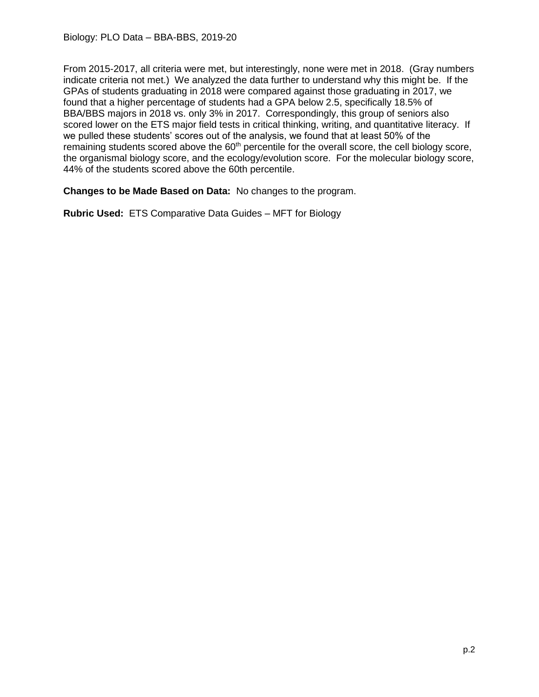From 2015-2017, all criteria were met, but interestingly, none were met in 2018. (Gray numbers indicate criteria not met.) We analyzed the data further to understand why this might be. If the GPAs of students graduating in 2018 were compared against those graduating in 2017, we found that a higher percentage of students had a GPA below 2.5, specifically 18.5% of BBA/BBS majors in 2018 vs. only 3% in 2017. Correspondingly, this group of seniors also scored lower on the ETS major field tests in critical thinking, writing, and quantitative literacy. If we pulled these students' scores out of the analysis, we found that at least 50% of the remaining students scored above the 60<sup>th</sup> percentile for the overall score, the cell biology score, the organismal biology score, and the ecology/evolution score. For the molecular biology score, 44% of the students scored above the 60th percentile.

**Changes to be Made Based on Data:** No changes to the program.

**Rubric Used:** ETS Comparative Data Guides – MFT for Biology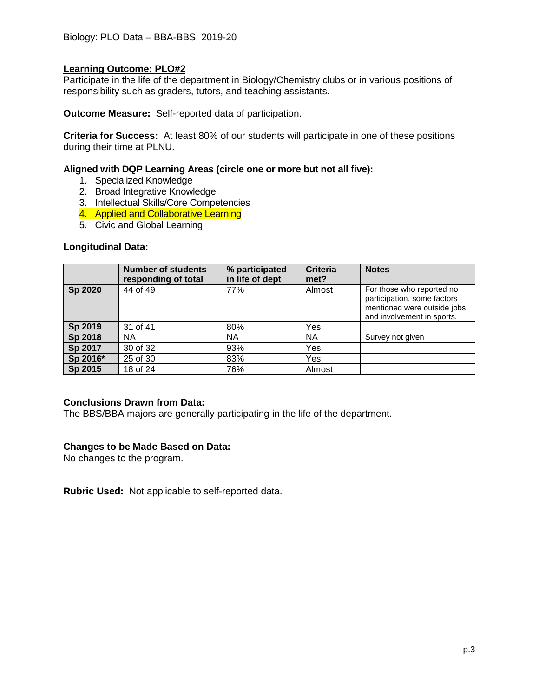## **Learning Outcome: PLO#2**

Participate in the life of the department in Biology/Chemistry clubs or in various positions of responsibility such as graders, tutors, and teaching assistants.

**Outcome Measure:** Self-reported data of participation.

**Criteria for Success:** At least 80% of our students will participate in one of these positions during their time at PLNU.

### **Aligned with DQP Learning Areas (circle one or more but not all five):**

- 1. Specialized Knowledge
- 2. Broad Integrative Knowledge
- 3. Intellectual Skills/Core Competencies
- 4. Applied and Collaborative Learning
- 5. Civic and Global Learning

#### **Longitudinal Data:**

|          | <b>Number of students</b><br>responding of total | % participated<br>in life of dept | <b>Criteria</b><br>met? | <b>Notes</b>                                                                                                          |
|----------|--------------------------------------------------|-----------------------------------|-------------------------|-----------------------------------------------------------------------------------------------------------------------|
| Sp 2020  | 44 of 49                                         | 77%                               | Almost                  | For those who reported no<br>participation, some factors<br>mentioned were outside jobs<br>and involvement in sports. |
| Sp 2019  | 31 of 41                                         | 80%                               | Yes                     |                                                                                                                       |
| Sp 2018  | NА                                               | ΝA                                | <b>NA</b>               | Survey not given                                                                                                      |
| Sp 2017  | 30 of 32                                         | 93%                               | Yes                     |                                                                                                                       |
| Sp 2016* | 25 of 30                                         | 83%                               | Yes                     |                                                                                                                       |
| Sp 2015  | 18 of 24                                         | 76%                               | Almost                  |                                                                                                                       |

#### **Conclusions Drawn from Data:**

The BBS/BBA majors are generally participating in the life of the department.

# **Changes to be Made Based on Data:**

No changes to the program.

**Rubric Used:** Not applicable to self-reported data.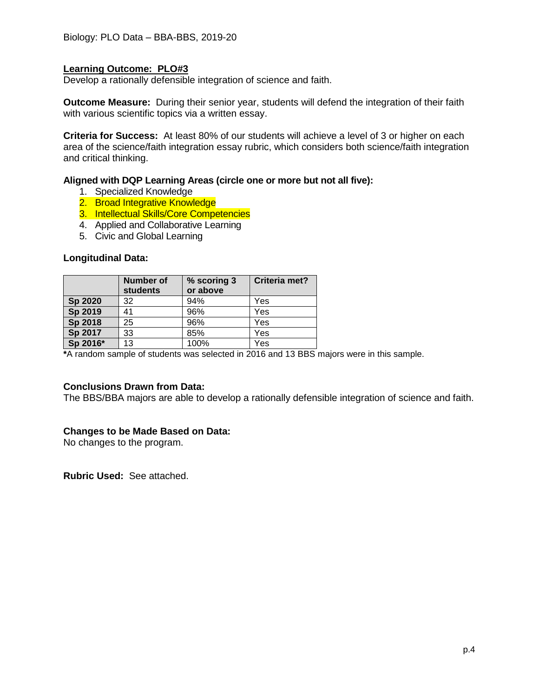## **Learning Outcome: PLO#3**

Develop a rationally defensible integration of science and faith.

**Outcome Measure:** During their senior year, students will defend the integration of their faith with various scientific topics via a written essay.

**Criteria for Success:** At least 80% of our students will achieve a level of 3 or higher on each area of the science/faith integration essay rubric, which considers both science/faith integration and critical thinking.

#### **Aligned with DQP Learning Areas (circle one or more but not all five):**

- 1. Specialized Knowledge
- 2. Broad Integrative Knowledge
- 3. Intellectual Skills/Core Competencies
- 4. Applied and Collaborative Learning
- 5. Civic and Global Learning

#### **Longitudinal Data:**

|                | Number of<br><b>students</b> | % scoring 3<br>or above | Criteria met? |
|----------------|------------------------------|-------------------------|---------------|
| <b>Sp 2020</b> | 32                           | 94%                     | Yes           |
| Sp 2019        | 41                           | 96%                     | Yes           |
| Sp 2018        | 25                           | 96%                     | Yes           |
| Sp 2017        | 33                           | 85%                     | Yes           |
| Sp 2016*       | 13                           | 100%                    | Yes           |

**\***A random sample of students was selected in 2016 and 13 BBS majors were in this sample.

#### **Conclusions Drawn from Data:**

The BBS/BBA majors are able to develop a rationally defensible integration of science and faith.

#### **Changes to be Made Based on Data:**

No changes to the program.

**Rubric Used:** See attached.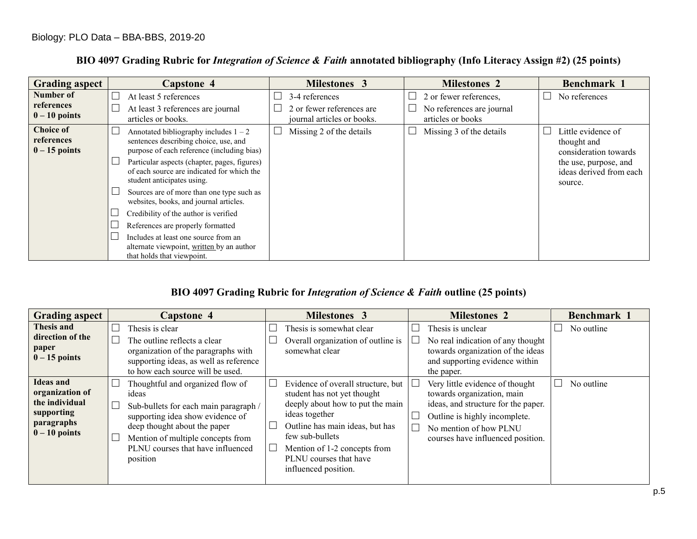# **BIO 4097 Grading Rubric for** *Integration of Science & Faith* **annotated bibliography (Info Literacy Assign #2) (25 points)**

| <b>Grading aspect</b>                             | <b>Capstone 4</b>                                                                                                              | Milestones 3                                                              | <b>Milestones 2</b>                                                      | Benchmark 1                                                 |
|---------------------------------------------------|--------------------------------------------------------------------------------------------------------------------------------|---------------------------------------------------------------------------|--------------------------------------------------------------------------|-------------------------------------------------------------|
| <b>Number of</b><br>references<br>$0 - 10$ points | At least 5 references<br>At least 3 references are journal<br>articles or books.                                               | 3-4 references<br>2 or fewer references are<br>journal articles or books. | 2 or fewer references,<br>No references are journal<br>articles or books | No references                                               |
| <b>Choice of</b><br>references<br>$0 - 15$ points | Annotated bibliography includes $1 - 2$<br>sentences describing choice, use, and<br>purpose of each reference (including bias) | Missing 2 of the details                                                  | Missing 3 of the details                                                 | Little evidence of<br>thought and<br>consideration towards  |
|                                                   | Particular aspects (chapter, pages, figures)<br>of each source are indicated for which the<br>student anticipates using.       |                                                                           |                                                                          | the use, purpose, and<br>ideas derived from each<br>source. |
|                                                   | Sources are of more than one type such as<br>websites, books, and journal articles.                                            |                                                                           |                                                                          |                                                             |
|                                                   | Credibility of the author is verified<br>References are properly formatted                                                     |                                                                           |                                                                          |                                                             |
|                                                   | Includes at least one source from an<br>alternate viewpoint, written by an author<br>that holds that viewpoint.                |                                                                           |                                                                          |                                                             |

# **BIO 4097 Grading Rubric for** *Integration of Science & Faith* **outline (25 points)**

| <b>Grading aspect</b>                                                                                | <b>Capstone 4</b>                                                                                                                                                                                                                            | <b>Milestones 3</b>                                                                                                                                                                                                                                             | <b>Milestones 2</b>                                                                                                                                                                                  | Benchmark 1 |
|------------------------------------------------------------------------------------------------------|----------------------------------------------------------------------------------------------------------------------------------------------------------------------------------------------------------------------------------------------|-----------------------------------------------------------------------------------------------------------------------------------------------------------------------------------------------------------------------------------------------------------------|------------------------------------------------------------------------------------------------------------------------------------------------------------------------------------------------------|-------------|
| Thesis and<br>direction of the<br>paper<br>$0 - 15$ points                                           | Thesis is clear<br>The outline reflects a clear<br>organization of the paragraphs with<br>supporting ideas, as well as reference<br>to how each source will be used.                                                                         | Thesis is somewhat clear<br>Overall organization of outline is<br>somewhat clear                                                                                                                                                                                | Thesis is unclear<br>No real indication of any thought<br>towards organization of the ideas<br>and supporting evidence within<br>the paper.                                                          | No outline  |
| <b>Ideas and</b><br>organization of<br>the individual<br>supporting<br>paragraphs<br>$0 - 10$ points | Thoughtful and organized flow of<br>ideas<br>Sub-bullets for each main paragraph /<br>supporting idea show evidence of<br>deep thought about the paper<br>Mention of multiple concepts from<br>PLNU courses that have influenced<br>position | Evidence of overall structure, but<br>student has not yet thought<br>deeply about how to put the main<br>ideas together<br>Outline has main ideas, but has<br>few sub-bullets<br>Mention of 1-2 concepts from<br>PLNU courses that have<br>influenced position. | Very little evidence of thought<br>towards organization, main<br>ideas, and structure for the paper.<br>Outline is highly incomplete.<br>No mention of how PLNU<br>courses have influenced position. | No outline  |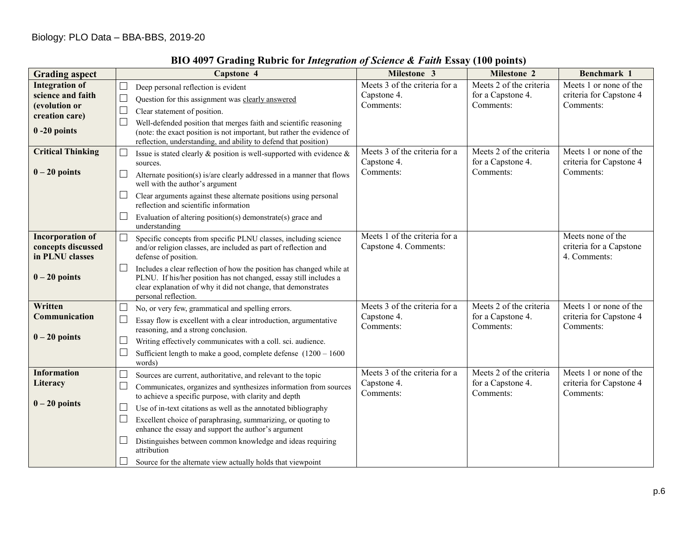| <b>Grading aspect</b>                                                                            | Capstone 4                                                                                                                                                                                                                                                                                                                                                                                                                                                                                                                                                               | Milestone 3                                               | Milestone 2                                               | Benchmark 1                                                    |
|--------------------------------------------------------------------------------------------------|--------------------------------------------------------------------------------------------------------------------------------------------------------------------------------------------------------------------------------------------------------------------------------------------------------------------------------------------------------------------------------------------------------------------------------------------------------------------------------------------------------------------------------------------------------------------------|-----------------------------------------------------------|-----------------------------------------------------------|----------------------------------------------------------------|
| <b>Integration of</b><br>science and faith<br>(evolution or<br>creation care)<br>$0 - 20$ points | $\Box$<br>Deep personal reflection is evident<br>$\Box$<br>Question for this assignment was clearly answered<br>$\Box$<br>Clear statement of position.<br>$\Box$<br>Well-defended position that merges faith and scientific reasoning<br>(note: the exact position is not important, but rather the evidence of<br>reflection, understanding, and ability to defend that position)                                                                                                                                                                                       | Meets 3 of the criteria for a<br>Capstone 4.<br>Comments: | Meets 2 of the criteria<br>for a Capstone 4.<br>Comments: | Meets 1 or none of the<br>criteria for Capstone 4<br>Comments: |
| <b>Critical Thinking</b><br>$0 - 20$ points                                                      | Issue is stated clearly & position is well-supported with evidence &<br>sources.<br>⊔<br>Alternate position(s) is/are clearly addressed in a manner that flows<br>well with the author's argument<br>$\Box$<br>Clear arguments against these alternate positions using personal<br>reflection and scientific information<br>Evaluation of altering position(s) demonstrate(s) grace and<br>$\Box$<br>understanding                                                                                                                                                       | Meets 3 of the criteria for a<br>Capstone 4.<br>Comments: | Meets 2 of the criteria<br>for a Capstone 4.<br>Comments: | Meets 1 or none of the<br>criteria for Capstone 4<br>Comments: |
| <b>Incorporation of</b><br>concepts discussed<br>in PLNU classes<br>$0 - 20$ points              | Specific concepts from specific PLNU classes, including science<br>$\Box$<br>and/or religion classes, are included as part of reflection and<br>defense of position.<br>Includes a clear reflection of how the position has changed while at<br>⊔<br>PLNU. If his/her position has not changed, essay still includes a<br>clear explanation of why it did not change, that demonstrates<br>personal reflection.                                                                                                                                                          | Meets 1 of the criteria for a<br>Capstone 4. Comments:    |                                                           | Meets none of the<br>criteria for a Capstone<br>4. Comments:   |
| Written<br>Communication<br>$0 - 20$ points                                                      | No, or very few, grammatical and spelling errors.<br>⊔<br>$\Box$<br>Essay flow is excellent with a clear introduction, argumentative<br>reasoning, and a strong conclusion.<br>⊔<br>Writing effectively communicates with a coll. sci. audience.<br>L<br>Sufficient length to make a good, complete defense $(1200 - 1600)$<br>words)                                                                                                                                                                                                                                    | Meets 3 of the criteria for a<br>Capstone 4.<br>Comments: | Meets 2 of the criteria<br>for a Capstone 4.<br>Comments: | Meets 1 or none of the<br>criteria for Capstone 4<br>Comments: |
| <b>Information</b><br>Literacy<br>$0 - 20$ points                                                | $\vert \ \ \vert$<br>Sources are current, authoritative, and relevant to the topic<br>⊔<br>Communicates, organizes and synthesizes information from sources<br>to achieve a specific purpose, with clarity and depth<br>$\Box$<br>Use of in-text citations as well as the annotated bibliography<br>⊔<br>Excellent choice of paraphrasing, summarizing, or quoting to<br>enhance the essay and support the author's argument<br>Distinguishes between common knowledge and ideas requiring<br>attribution<br>Source for the alternate view actually holds that viewpoint | Meets 3 of the criteria for a<br>Capstone 4.<br>Comments: | Meets 2 of the criteria<br>for a Capstone 4.<br>Comments: | Meets 1 or none of the<br>criteria for Capstone 4<br>Comments: |

# **BIO 4097 Grading Rubric for** *Integration of Science & Faith* **Essay (100 points)**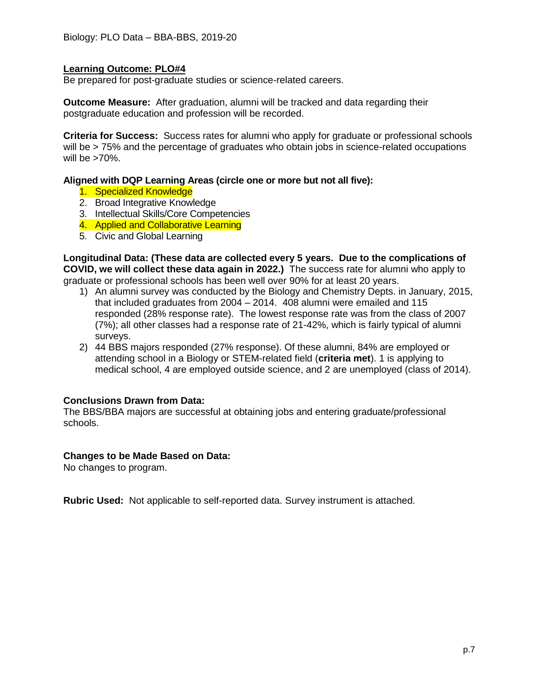## **Learning Outcome: PLO#4**

Be prepared for post-graduate studies or science-related careers.

**Outcome Measure:** After graduation, alumni will be tracked and data regarding their postgraduate education and profession will be recorded.

**Criteria for Success:** Success rates for alumni who apply for graduate or professional schools will be > 75% and the percentage of graduates who obtain jobs in science-related occupations will be  $>70\%$ .

#### **Aligned with DQP Learning Areas (circle one or more but not all five):**

- 1. Specialized Knowledge
- 2. Broad Integrative Knowledge
- 3. Intellectual Skills/Core Competencies
- 4. Applied and Collaborative Learning
- 5. Civic and Global Learning

**Longitudinal Data: (These data are collected every 5 years. Due to the complications of COVID, we will collect these data again in 2022.)** The success rate for alumni who apply to graduate or professional schools has been well over 90% for at least 20 years.

- 1) An alumni survey was conducted by the Biology and Chemistry Depts. in January, 2015, that included graduates from 2004 – 2014. 408 alumni were emailed and 115 responded (28% response rate). The lowest response rate was from the class of 2007 (7%); all other classes had a response rate of 21-42%, which is fairly typical of alumni surveys.
- 2) 44 BBS majors responded (27% response). Of these alumni, 84% are employed or attending school in a Biology or STEM-related field (**criteria met**). 1 is applying to medical school, 4 are employed outside science, and 2 are unemployed (class of 2014).

#### **Conclusions Drawn from Data:**

The BBS/BBA majors are successful at obtaining jobs and entering graduate/professional schools.

#### **Changes to be Made Based on Data:**

No changes to program.

**Rubric Used:** Not applicable to self-reported data. Survey instrument is attached.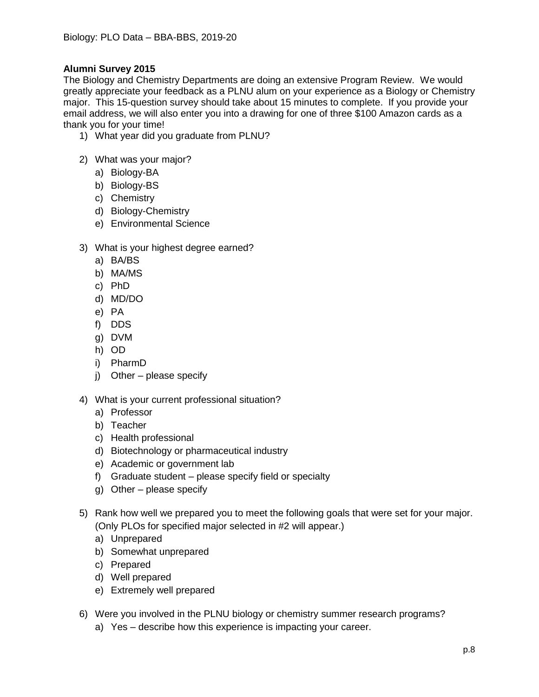# **Alumni Survey 2015**

The Biology and Chemistry Departments are doing an extensive Program Review. We would greatly appreciate your feedback as a PLNU alum on your experience as a Biology or Chemistry major. This 15-question survey should take about 15 minutes to complete. If you provide your email address, we will also enter you into a drawing for one of three \$100 Amazon cards as a thank you for your time!

- 1) What year did you graduate from PLNU?
- 2) What was your major?
	- a) Biology-BA
	- b) Biology-BS
	- c) Chemistry
	- d) Biology-Chemistry
	- e) Environmental Science
- 3) What is your highest degree earned?
	- a) BA/BS
	- b) MA/MS
	- c) PhD
	- d) MD/DO
	- e) PA
	- f) DDS
	- g) DVM
	- h) OD
	- i) PharmD
	- j) Other please specify
- 4) What is your current professional situation?
	- a) Professor
	- b) Teacher
	- c) Health professional
	- d) Biotechnology or pharmaceutical industry
	- e) Academic or government lab
	- f) Graduate student please specify field or specialty
	- g) Other please specify
- 5) Rank how well we prepared you to meet the following goals that were set for your major. (Only PLOs for specified major selected in #2 will appear.)
	- a) Unprepared
	- b) Somewhat unprepared
	- c) Prepared
	- d) Well prepared
	- e) Extremely well prepared
- 6) Were you involved in the PLNU biology or chemistry summer research programs?
	- a) Yes describe how this experience is impacting your career.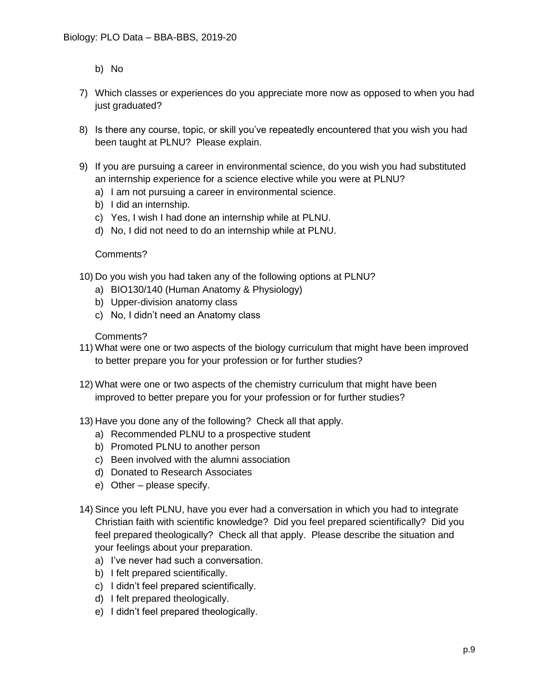- b) No
- 7) Which classes or experiences do you appreciate more now as opposed to when you had just graduated?
- 8) Is there any course, topic, or skill you've repeatedly encountered that you wish you had been taught at PLNU? Please explain.
- 9) If you are pursuing a career in environmental science, do you wish you had substituted an internship experience for a science elective while you were at PLNU?
	- a) I am not pursuing a career in environmental science.
	- b) I did an internship.
	- c) Yes, I wish I had done an internship while at PLNU.
	- d) No, I did not need to do an internship while at PLNU.

#### Comments?

- 10) Do you wish you had taken any of the following options at PLNU?
	- a) BIO130/140 (Human Anatomy & Physiology)
	- b) Upper-division anatomy class
	- c) No, I didn't need an Anatomy class

#### Comments?

- 11) What were one or two aspects of the biology curriculum that might have been improved to better prepare you for your profession or for further studies?
- 12) What were one or two aspects of the chemistry curriculum that might have been improved to better prepare you for your profession or for further studies?
- 13) Have you done any of the following? Check all that apply.
	- a) Recommended PLNU to a prospective student
	- b) Promoted PLNU to another person
	- c) Been involved with the alumni association
	- d) Donated to Research Associates
	- e) Other please specify.
- 14) Since you left PLNU, have you ever had a conversation in which you had to integrate Christian faith with scientific knowledge? Did you feel prepared scientifically? Did you feel prepared theologically? Check all that apply. Please describe the situation and your feelings about your preparation.
	- a) I've never had such a conversation.
	- b) I felt prepared scientifically.
	- c) I didn't feel prepared scientifically.
	- d) I felt prepared theologically.
	- e) I didn't feel prepared theologically.